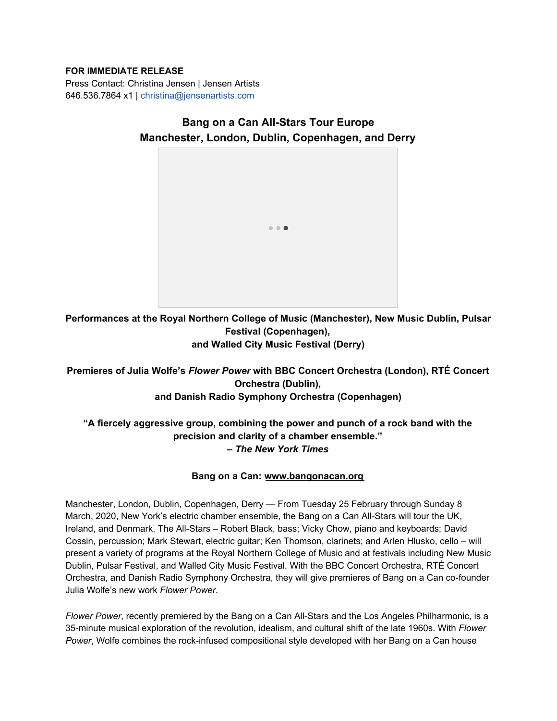#### **FOR IMMEDIATE RELEASE**

Press Contact: Christina Jensen | Jensen Artists 646.536.7864 x1 | christina@jensenartists.com

# **Bang on a Can All-Stars Tour Europe Manchester, London, Dublin, Copenhagen, and Derry**



**Performances at the Royal Northern College of Music (Manchester), New Music Dublin, Pulsar Festival (Copenhagen), and Walled City Music Festival (Derry)**

#### **Premieres of Julia Wolfe's** *Flower Power* **with BBC Concert Orchestra (London), RTÉ Concert Orchestra (Dublin), and Danish Radio Symphony Orchestra (Copenhagen)**

#### **"A fiercely aggressive group, combining the power and punch of a rock band with the precision and clarity of a chamber ensemble."** *– The New York Times*

#### **Bang on a Can: [www.bangonacan.org](https://u7061146.ct.sendgrid.net/ls/click?upn=TeZUXWpUv-2B6TCY38pVLo9nBKu9wTZqx6sNS3Vfu6CXSQV-2F-2BfIIpfmcvK-2BOQ850qUhKbF_IpA7hxueGg5XIsiAxedwPJ6X7KkvJosY9CQSXImWzsGT2TMlME98D1uoJFSQ2tXLntiI-2BJ2MeBovEtABaBEmsOOFc-2BVBaLMHWENAhPqWPGybPrIOWkhEc3Eyo5ajgQrVxUddZikCbFIRmxbSuoruQz51tPEaWsaT0-2BV4dKaNx0WJ5x7dTQTKvWuB01VFzM-2BgznJhMDTYwmGgcrOwvykw4iFFPrpv0ciAP4kdZhis4KQ4iD-2B6D7kXPTGPkIqmfrGssOQnrhGxAYT1M8jjwxzJPLi-2FSSxQmvKyx9u7-2F4oR6PPJEFzXfROJroQGLgyBUBqDg1-2BCONB03yym-2BwcZGaXH730PhU5oihL8TwmoppDj8vQ-3D)**

Manchester, London, Dublin, Copenhagen, Derry — From Tuesday 25 February through Sunday 8 March, 2020, New York's electric chamber ensemble, the Bang on a Can All-Stars will tour the UK, Ireland, and Denmark. The All-Stars – Robert Black, bass; Vicky Chow, piano and keyboards; David Cossin, percussion; Mark Stewart, electric guitar; Ken Thomson, clarinets; and Arlen Hlusko, cello – will present a variety of programs at the Royal Northern College of Music and at festivals including New Music Dublin, Pulsar Festival, and Walled City Music Festival. With the BBC Concert Orchestra, RTÉ Concert Orchestra, and Danish Radio Symphony Orchestra, they will give premieres of Bang on a Can co-founder Julia Wolfe's new work *Flower Power*.

*Flower Power*, recently premiered by the Bang on a Can All-Stars and the Los Angeles Philharmonic, is a 35-minute musical exploration of the revolution, idealism, and cultural shift of the late 1960s. With *Flower Power*, Wolfe combines the rock-infused compositional style developed with her Bang on a Can house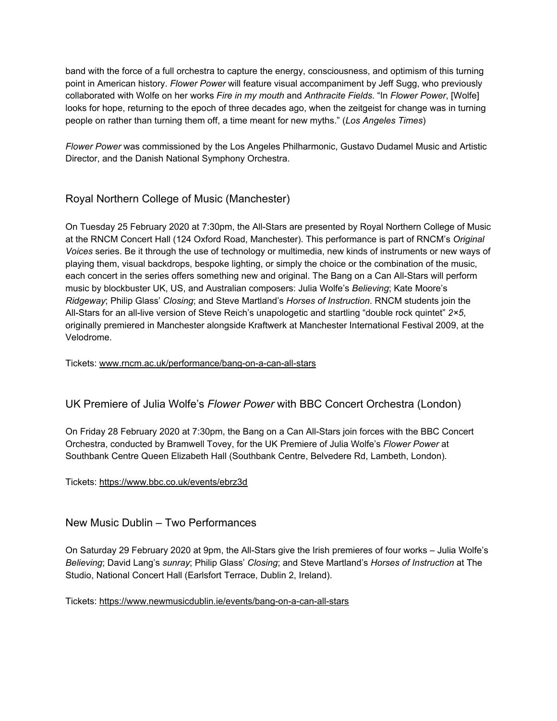band with the force of a full orchestra to capture the energy, consciousness, and optimism of this turning point in American history. *Flower Power* will feature visual accompaniment by Jeff Sugg, who previously collaborated with Wolfe on her works *Fire in my mouth* and *Anthracite Fields*. "In *Flower Power*, [Wolfe] looks for hope, returning to the epoch of three decades ago, when the zeitgeist for change was in turning people on rather than turning them off, a time meant for new myths." (*Los Angeles Times*)

*Flower Power* was commissioned by the Los Angeles Philharmonic, Gustavo Dudamel Music and Artistic Director, and the Danish National Symphony Orchestra.

# Royal Northern College of Music (Manchester)

On Tuesday 25 February 2020 at 7:30pm, the All-Stars are presented by Royal Northern College of Music at the RNCM Concert Hall (124 Oxford Road, Manchester). This performance is part of RNCM's *Original Voices* series. Be it through the use of technology or multimedia, new kinds of instruments or new ways of playing them, visual backdrops, bespoke lighting, or simply the choice or the combination of the music, each concert in the series offers something new and original. The Bang on a Can All-Stars will perform music by blockbuster UK, US, and Australian composers: Julia Wolfe's *Believing*; Kate Moore's *Ridgeway*; Philip Glass' *Closing*; and Steve Martland's *Horses of Instruction*. RNCM students join the All-Stars for an all-live version of Steve Reich's unapologetic and startling "double rock quintet" *2×5*, originally premiered in Manchester alongside Kraftwerk at Manchester International Festival 2009, at the Velodrome.

Tickets: [www.rncm.ac.uk/performance/bang-on-a-can-all-stars](https://u7061146.ct.sendgrid.net/ls/click?upn=TeZUXWpUv-2B6TCY38pVLo9tIOpMXYSmsHoWLl6dvYjwwSwMAKyfRyd8s2a9xmOgia0VZYSxS7vepOHcmQ8foOCGMbS-2FLqsvfl45hXBQ-2BBh8U-3DZha8_IpA7hxueGg5XIsiAxedwPJ6X7KkvJosY9CQSXImWzsGT2TMlME98D1uoJFSQ2tXLntiI-2BJ2MeBovEtABaBEmsOOFc-2BVBaLMHWENAhPqWPGybPrIOWkhEc3Eyo5ajgQrVxUddZikCbFIRmxbSuoruQz51tPEaWsaT0-2BV4dKaNx0WJ5x7dTQTKvWuB01VFzM-2BgznJhMDTYwmGgcrOwvykw4kfxPSE-2FnfI8i-2FpRHu-2BbIqF-2F-2Fhrm-2BHHBEKw3Rq-2BaLn-2FvYmDmsG-2BULgoj-2FVdwApRYqg0AvGZC3lKkxDEv-2FA-2FvLzdhY7G17v2D03dVToxK9vBcYhy3ReSIlFCc1PfiEKSRhaZZ-2BnQbJi-2Bd1aCtOzLyh7I-3D)

# UK Premiere of Julia Wolfe's *Flower Power* with BBC Concert Orchestra (London)

On Friday 28 February 2020 at 7:30pm, the Bang on a Can All-Stars join forces with the BBC Concert Orchestra, conducted by Bramwell Tovey, for the UK Premiere of Julia Wolfe's *Flower Power* at Southbank Centre Queen Elizabeth Hall (Southbank Centre, Belvedere Rd, Lambeth, London).

Tickets: [https://www.bbc.co.uk/events/ebrz3d](https://u7061146.ct.sendgrid.net/ls/click?upn=4tNED-2FM8iDZJQyQ53jATUZHqp7R0E5nWjOHHrFQql7eIPc97ibEpx3NlBPXWTM0rpSIT_IpA7hxueGg5XIsiAxedwPJ6X7KkvJosY9CQSXImWzsGT2TMlME98D1uoJFSQ2tXLntiI-2BJ2MeBovEtABaBEmsOOFc-2BVBaLMHWENAhPqWPGybPrIOWkhEc3Eyo5ajgQrVxUddZikCbFIRmxbSuoruQz51tPEaWsaT0-2BV4dKaNx0WJ5x7dTQTKvWuB01VFzM-2BgznJhMDTYwmGgcrOwvykw4rZHuU9UxyuoQzpDSwIRYYVfMotVGI3G3uT6xeyN29VRAMSaoPPP9AG-2FCY7eAyhJXfC1yQyJtuSsEqlJ0NnA8lHwqb2nBz0-2B8mf5kdz9vIsTcrLv10RjE9WiJOgZmKxij7bMft35hzWTz41iq8jvvlM-3D)

# New Music Dublin – Two Performances

On Saturday 29 February 2020 at 9pm, the All-Stars give the Irish premieres of four works – Julia Wolfe's *Believing*; David Lang's *sunray*; Philip Glass' *Closing*; and Steve Martland's *Horses of Instruction* at The Studio, National Concert Hall (Earlsfort Terrace, Dublin 2, Ireland).

Tickets: [https://www.newmusicdublin.ie/events/bang-on-a-can-all-stars](https://u7061146.ct.sendgrid.net/ls/click?upn=4tNED-2FM8iDZJQyQ53jATUZE9q481e-2Fgd39nvzGDm-2BpxGNKKLS2Y18KxGo0sQjy4Ix4Y7-2BpMaNgREs4G-2B27wgLBSupVN7qnwKCLxwfhmMs8c-3DaWk6_IpA7hxueGg5XIsiAxedwPJ6X7KkvJosY9CQSXImWzsGT2TMlME98D1uoJFSQ2tXLntiI-2BJ2MeBovEtABaBEmsOOFc-2BVBaLMHWENAhPqWPGybPrIOWkhEc3Eyo5ajgQrVxUddZikCbFIRmxbSuoruQz51tPEaWsaT0-2BV4dKaNx0WJ5x7dTQTKvWuB01VFzM-2BgznJhMDTYwmGgcrOwvykw4m6Fdl5SrbEWf6d3OIWo5opQWcYEvimyOxZ9MxokT03Uziq3z2Rc73eUjO0ypBubFHwP3bo2V-2B20DLwp2S-2FGYKj22kIrtC0zyBCQJxlCiveo1h0JgtfOchCOensEXp86L-2FlV8XBA0jsj2SfX9USyHJk-3D)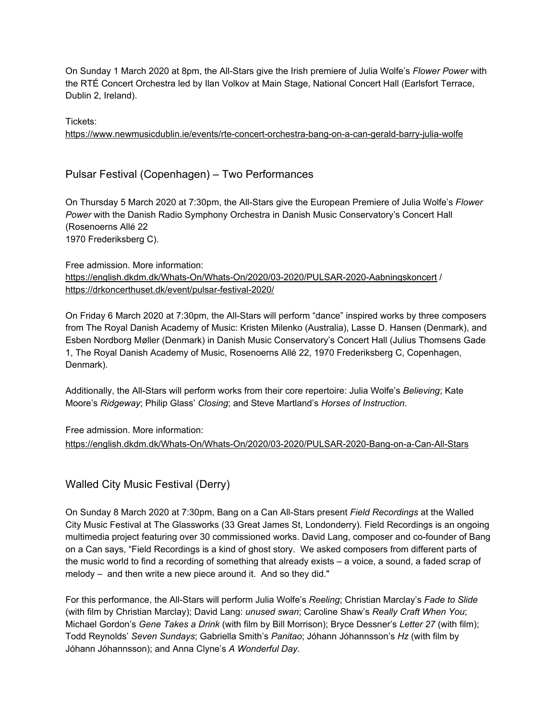On Sunday 1 March 2020 at 8pm, the All-Stars give the Irish premiere of Julia Wolfe's *Flower Power* with the RTÉ Concert Orchestra led by Ilan Volkov at Main Stage, National Concert Hall (Earlsfort Terrace, Dublin 2, Ireland).

Tickets:

[https://www.newmusicdublin.ie/events/rte-concert-orchestra-bang-on-a-can-gerald-barry-julia-wolfe](https://u7061146.ct.sendgrid.net/ls/click?upn=4tNED-2FM8iDZJQyQ53jATUZE9q481e-2Fgd39nvzGDm-2BpywQtR5SluBk0EoiTGn9s5Pg7HI6t1hYMpycpeBhKU7HrJsnxM4XLfls8oDs3KmXPzBEfI7TYfrrtJuD6KAM-2BcUDz1TO8CCKhd8-2FfnWwUQpew-3D-3DByLh_IpA7hxueGg5XIsiAxedwPJ6X7KkvJosY9CQSXImWzsGT2TMlME98D1uoJFSQ2tXLntiI-2BJ2MeBovEtABaBEmsOOFc-2BVBaLMHWENAhPqWPGybPrIOWkhEc3Eyo5ajgQrVxUddZikCbFIRmxbSuoruQz51tPEaWsaT0-2BV4dKaNx0WJ5x7dTQTKvWuB01VFzM-2BgznJhMDTYwmGgcrOwvykw4mqyqBQkEO11DCT0A5KMn-2Feqa-2FdmoqmheSrcYErAEXNHlcVZbLRMGsOqKk0pIOkSBWo-2BEP8a6-2FUzOfKN-2FWyA-2FB1qvXOHyT8jB7z-2Fi9acUgLiXbJV-2FSEe6ERU6oGiiAywV7-2BBvstIoJB1alkZr0bPEHM-3D)

Pulsar Festival (Copenhagen) – Two Performances

On Thursday 5 March 2020 at 7:30pm, the All-Stars give the European Premiere of Julia Wolfe's *Flower Power* with the Danish Radio Symphony Orchestra in Danish Music Conservatory's Concert Hall (Rosenoerns Allé 22 1970 Frederiksberg C).

Free admission. More information: [https://english.dkdm.dk/Whats-On/Whats-On/2020/03-2020/PULSAR-2020-Aabningskoncert](https://u7061146.ct.sendgrid.net/ls/click?upn=4tNED-2FM8iDZJQyQ53jATUSNjgTj-2BnTmvFVT1cdRjxEVQRsSpASmv3qrTQlswUE2zfZBMhZkFr-2BDYedrn8dTehGbOzOwVn7BHrrpRws4o-2F6OOfYvFnEh4h7NHsxu09qpuQIVV_IpA7hxueGg5XIsiAxedwPJ6X7KkvJosY9CQSXImWzsGT2TMlME98D1uoJFSQ2tXLntiI-2BJ2MeBovEtABaBEmsOOFc-2BVBaLMHWENAhPqWPGybPrIOWkhEc3Eyo5ajgQrVxUddZikCbFIRmxbSuoruQz51tPEaWsaT0-2BV4dKaNx0WJ5x7dTQTKvWuB01VFzM-2BgznJhMDTYwmGgcrOwvykw4jytF-2BN4teYNLG5b9bdFYk-2BmlhKDB0hWHiCLMcPpwxd7Fus4kbioB3k1-2Bctdvb-2FUKF-2BgDEv3TghCNBy1WuYoyQv5q54XgKAT8hcCskQnq6K7SbwoWmhQoI7b2KfKodMlEU2t17F1Tcc0H-2FSvR2fWdeI-3D) / [https://drkoncerthuset.dk/event/pulsar-festival-2020/](https://u7061146.ct.sendgrid.net/ls/click?upn=4tNED-2FM8iDZJQyQ53jATUaGGoB8YECWnN20eyEB0Sk-2B1vRjaVW-2BhESFUfkPJTSNjCxE7ia7nZuV556wWZElsbg-3D-3Dte0N_IpA7hxueGg5XIsiAxedwPJ6X7KkvJosY9CQSXImWzsGT2TMlME98D1uoJFSQ2tXLntiI-2BJ2MeBovEtABaBEmsOOFc-2BVBaLMHWENAhPqWPGybPrIOWkhEc3Eyo5ajgQrVxUddZikCbFIRmxbSuoruQz51tPEaWsaT0-2BV4dKaNx0WJ5x7dTQTKvWuB01VFzM-2BgznJhMDTYwmGgcrOwvykw4ux-2BbK23-2FNepUeBEcVsyVGPXNTycyAJKjM4boUXzm7BZavbIFFju6-2F891ZkUuyxv1-2FX7tnVWYVDXgLfOOm2UXQ8WPfQl98tS2SLydTt-2F-2BWUdVCnhGtGbhlkP-2BAks9NXoLnxQgaLR4AjQXDKtfqW-2BT0o-3D)

On Friday 6 March 2020 at 7:30pm, the All-Stars will perform "dance" inspired works by three composers from The Royal Danish Academy of Music: Kristen Milenko (Australia), Lasse D. Hansen (Denmark), and Esben Nordborg Møller (Denmark) in Danish Music Conservatory's Concert Hall (Julius Thomsens Gade 1, The Royal Danish Academy of Music, Rosenoerns Allé 22, 1970 Frederiksberg C, Copenhagen, Denmark).

Additionally, the All-Stars will perform works from their core repertoire: Julia Wolfe's *Believing*; Kate Moore's *Ridgeway*; Philip Glass' *Closing*; and Steve Martland's *Horses of Instruction*.

Free admission. More information: [https://english.dkdm.dk/Whats-On/Whats-On/2020/03-2020/PULSAR-2020-Bang-on-a-Can-All-Stars](https://u7061146.ct.sendgrid.net/ls/click?upn=4tNED-2FM8iDZJQyQ53jATUSNjgTj-2BnTmvFVT1cdRjxEVQRsSpASmv3qrTQlswUE2zfZBMhZkFr-2BDYedrn8dTehG9evWLdT3YrCG-2F6skx5pAlFwoaHAjm-2BMi-2B5nywApB8Rmei1WqZ64Idab0TPRjvBwA-3D-3Dda7o_IpA7hxueGg5XIsiAxedwPJ6X7KkvJosY9CQSXImWzsGT2TMlME98D1uoJFSQ2tXLntiI-2BJ2MeBovEtABaBEmsOOFc-2BVBaLMHWENAhPqWPGybPrIOWkhEc3Eyo5ajgQrVxUddZikCbFIRmxbSuoruQz51tPEaWsaT0-2BV4dKaNx0WJ5x7dTQTKvWuB01VFzM-2BgznJhMDTYwmGgcrOwvykw4s1e9GI5EVnBtM9gvof-2FOkEAqhbi6w28vJUrpThi6Bo1uOYisYDjbsKBGaqYAmzqlOckNgK6vz9yq9oKOjFvT45Fjx30-2BK8ukj3OaLBCAVDkXqbNjAPkWao8p8slswXCSQJjn8jQJnD7VFuszf9qlAg-3D)

# Walled City Music Festival (Derry)

On Sunday 8 March 2020 at 7:30pm, Bang on a Can All-Stars present *Field Recordings* at the Walled City Music Festival at The Glassworks (33 Great James St, Londonderry). Field Recordings is an ongoing multimedia project featuring over 30 commissioned works. David Lang, composer and co-founder of Bang on a Can says, "Field Recordings is a kind of ghost story. We asked composers from different parts of the music world to find a recording of something that already exists – a voice, a sound, a faded scrap of melody – and then write a new piece around it. And so they did."

For this performance, the All-Stars will perform Julia Wolfe's *Reeling*; Christian Marclay's *Fade to Slide* (with film by Christian Marclay); David Lang: *unused swan*; Caroline Shaw's *Really Craft When You*; Michael Gordon's *Gene Takes a Drink* (with film by Bill Morrison); Bryce Dessner's *Letter 27* (with film); Todd Reynolds' *Seven Sundays*; Gabriella Smith's *Panitao*; Jóhann Jóhannsson's *Hz* (with film by Jóhann Jóhannsson); and Anna Clyne's *A Wonderful Day.*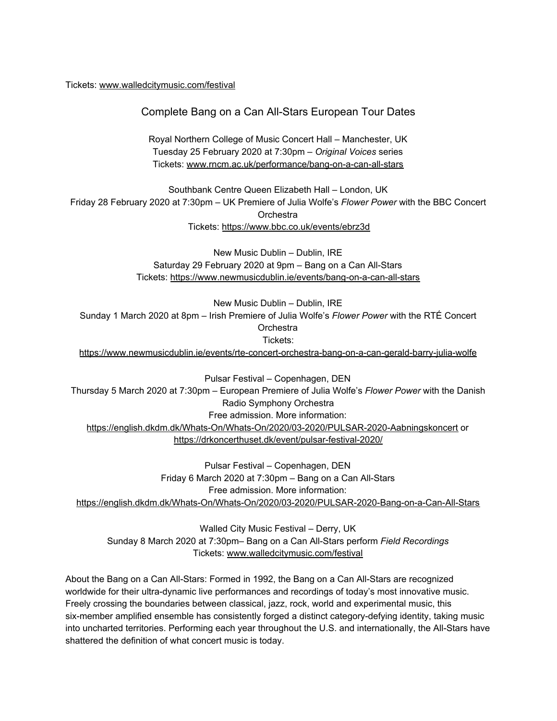Tickets: [www.walledcitymusic.com/festival](https://u7061146.ct.sendgrid.net/ls/click?upn=TeZUXWpUv-2B6TCY38pVLo9nZ5O6syf23vMjtse4JDOQK2l1-2FfQDfWQa39ddy-2FzKqEnrYA_IpA7hxueGg5XIsiAxedwPJ6X7KkvJosY9CQSXImWzsGT2TMlME98D1uoJFSQ2tXLntiI-2BJ2MeBovEtABaBEmsOOFc-2BVBaLMHWENAhPqWPGybPrIOWkhEc3Eyo5ajgQrVxUddZikCbFIRmxbSuoruQz51tPEaWsaT0-2BV4dKaNx0WJ5x7dTQTKvWuB01VFzM-2BgznJhMDTYwmGgcrOwvykw4lpsQl-2BubcOuYJGGk4fZ-2F3vHtU64vhSLdNYR3aEReIvJHOTh8ZnWdgAND7j1VkEBWfXhVPyJKUN8Pqem9kDY9QpVgdIb8Cf2fWdimyCWclJq7LdOA8463Kwwn2-2BbIcr-2B4hmaXAejXFyELwAmEeBBHCM-3D)

Complete Bang on a Can All-Stars European Tour Dates

Royal Northern College of Music Concert Hall – Manchester, UK Tuesday 25 February 2020 at 7:30pm – *Original Voices* series Tickets: [www.rncm.ac.uk/performance/bang-on-a-can-all-stars](https://u7061146.ct.sendgrid.net/ls/click?upn=TeZUXWpUv-2B6TCY38pVLo9tIOpMXYSmsHoWLl6dvYjwwSwMAKyfRyd8s2a9xmOgia0VZYSxS7vepOHcmQ8foOCGMbS-2FLqsvfl45hXBQ-2BBh8U-3DDWiG_IpA7hxueGg5XIsiAxedwPJ6X7KkvJosY9CQSXImWzsGT2TMlME98D1uoJFSQ2tXLntiI-2BJ2MeBovEtABaBEmsOOFc-2BVBaLMHWENAhPqWPGybPrIOWkhEc3Eyo5ajgQrVxUddZikCbFIRmxbSuoruQz51tPEaWsaT0-2BV4dKaNx0WJ5x7dTQTKvWuB01VFzM-2BgznJhMDTYwmGgcrOwvykw4qQrwJebNZ57UiFrbDdAuyw2A8pplAl0LpXWQorGIZFO1S99ElcCVU6iljH2T-2FBcithj5Kyd7CuwLE-2BCtogc8xzDrUuFEZPB5TKF-2F6tif3N6k-2BLND5zL38l6kJ46OrzRxOiUt9keGFBiYUk7gIZgzVs-3D)

Southbank Centre Queen Elizabeth Hall – London, UK Friday 28 February 2020 at 7:30pm – UK Premiere of Julia Wolfe's *Flower Power* with the BBC Concert Orchestra Tickets: [https://www.bbc.co.uk/events/ebrz3d](https://u7061146.ct.sendgrid.net/ls/click?upn=4tNED-2FM8iDZJQyQ53jATUZHqp7R0E5nWjOHHrFQql7eIPc97ibEpx3NlBPXWTM0rol3-_IpA7hxueGg5XIsiAxedwPJ6X7KkvJosY9CQSXImWzsGT2TMlME98D1uoJFSQ2tXLntiI-2BJ2MeBovEtABaBEmsOOFc-2BVBaLMHWENAhPqWPGybPrIOWkhEc3Eyo5ajgQrVxUddZikCbFIRmxbSuoruQz51tPEaWsaT0-2BV4dKaNx0WJ5x7dTQTKvWuB01VFzM-2BgznJhMDTYwmGgcrOwvykw4s5oQK-2BGt6TjXKNVZs-2B75BlXFGooxRiW-2Blledyaa1yOKRj4b9AANA2fI52rHTD-2Bj9gSoHDm2c88dwpmOWlQ0nOdyW-2BlzYoMjCldDtQmw3pJ4gAdqireH-2FQAgxvZ1ydBsnNNLPtQk13axbzlj8ZtHQJE-3D)

> New Music Dublin – Dublin, IRE Saturday 29 February 2020 at 9pm – Bang on a Can All-Stars Tickets: [https://www.newmusicdublin.ie/events/bang-on-a-can-all-stars](https://u7061146.ct.sendgrid.net/ls/click?upn=4tNED-2FM8iDZJQyQ53jATUZE9q481e-2Fgd39nvzGDm-2BpxGNKKLS2Y18KxGo0sQjy4Ix4Y7-2BpMaNgREs4G-2B27wgLBSupVN7qnwKCLxwfhmMs8c-3DPBZD_IpA7hxueGg5XIsiAxedwPJ6X7KkvJosY9CQSXImWzsGT2TMlME98D1uoJFSQ2tXLntiI-2BJ2MeBovEtABaBEmsOOFc-2BVBaLMHWENAhPqWPGybPrIOWkhEc3Eyo5ajgQrVxUddZikCbFIRmxbSuoruQz51tPEaWsaT0-2BV4dKaNx0WJ5x7dTQTKvWuB01VFzM-2BgznJhMDTYwmGgcrOwvykw4rBvy16qYpve8OZnKgp9tFKWTVLKeAdlQcaRduCqIw1Nedys8aoRa0gSvFsGEvu9jA2d5v00Ga8bh-2BxgbTVR6cV60IWg6-2BeIrd9l-2BnJ1Sd4h-2FBvlGio0aNZgniXyLfTnki7P-2ByDv7Sssahs2gingE1c-3D)

New Music Dublin – Dublin, IRE Sunday 1 March 2020 at 8pm – Irish Premiere of Julia Wolfe's *Flower Power* with the RTÉ Concert Orchestra Tickets:

[https://www.newmusicdublin.ie/events/rte-concert-orchestra-bang-on-a-can-gerald-barry-julia-wolfe](https://u7061146.ct.sendgrid.net/ls/click?upn=4tNED-2FM8iDZJQyQ53jATUZE9q481e-2Fgd39nvzGDm-2BpywQtR5SluBk0EoiTGn9s5Pg7HI6t1hYMpycpeBhKU7HrJsnxM4XLfls8oDs3KmXPzBEfI7TYfrrtJuD6KAM-2BcUDz1TO8CCKhd8-2FfnWwUQpew-3D-3DVuZh_IpA7hxueGg5XIsiAxedwPJ6X7KkvJosY9CQSXImWzsGT2TMlME98D1uoJFSQ2tXLntiI-2BJ2MeBovEtABaBEmsOOFc-2BVBaLMHWENAhPqWPGybPrIOWkhEc3Eyo5ajgQrVxUddZikCbFIRmxbSuoruQz51tPEaWsaT0-2BV4dKaNx0WJ5x7dTQTKvWuB01VFzM-2BgznJhMDTYwmGgcrOwvykw4swdqmEk2YLy87ej5JbUVKWhoIE7UY0XuzTTrZr848s0aYjD2pzWCepkC-2F3XIGRBIbbCDUTjj9ur3pCUVsincfMEO3a9-2BHzOaSSGolhCEJTYD1vsjO3tqdSZrEOCwrw4MWFkfX4NOOX3CoZIZEzmeBg-3D)

Pulsar Festival – Copenhagen, DEN Thursday 5 March 2020 at 7:30pm – European Premiere of Julia Wolfe's *Flower Power* with the Danish Radio Symphony Orchestra Free admission. More information: [https://english.dkdm.dk/Whats-On/Whats-On/2020/03-2020/PULSAR-2020-Aabningskoncert](https://u7061146.ct.sendgrid.net/ls/click?upn=4tNED-2FM8iDZJQyQ53jATUSNjgTj-2BnTmvFVT1cdRjxEVQRsSpASmv3qrTQlswUE2zfZBMhZkFr-2BDYedrn8dTehGbOzOwVn7BHrrpRws4o-2F6OOfYvFnEh4h7NHsxu09qpudfjJ_IpA7hxueGg5XIsiAxedwPJ6X7KkvJosY9CQSXImWzsGT2TMlME98D1uoJFSQ2tXLntiI-2BJ2MeBovEtABaBEmsOOFc-2BVBaLMHWENAhPqWPGybPrIOWkhEc3Eyo5ajgQrVxUddZikCbFIRmxbSuoruQz51tPEaWsaT0-2BV4dKaNx0WJ5x7dTQTKvWuB01VFzM-2BgznJhMDTYwmGgcrOwvykw4rbt3j2RltfwaQmJxLreFfBDc0Y2zBIdeaWdqTns7Ri2xbeEm-2FHxwBiU3zGPhB1TbT9v3gK-2BdG81UwWfhOpWVJfsaNGxt0hTnpyWFQIZksuKQbK5ttPppWZGL9hpGU63d758jih0E8iemkCmi2YU-2Bdw-3D) or [https://drkoncerthuset.dk/event/pulsar-festival-2020/](https://u7061146.ct.sendgrid.net/ls/click?upn=4tNED-2FM8iDZJQyQ53jATUaGGoB8YECWnN20eyEB0Sk-2B1vRjaVW-2BhESFUfkPJTSNjCxE7ia7nZuV556wWZElsbg-3D-3Dqpe2_IpA7hxueGg5XIsiAxedwPJ6X7KkvJosY9CQSXImWzsGT2TMlME98D1uoJFSQ2tXLntiI-2BJ2MeBovEtABaBEmsOOFc-2BVBaLMHWENAhPqWPGybPrIOWkhEc3Eyo5ajgQrVxUddZikCbFIRmxbSuoruQz51tPEaWsaT0-2BV4dKaNx0WJ5x7dTQTKvWuB01VFzM-2BgznJhMDTYwmGgcrOwvykw4lBLZGUs-2FoicxDTE2WQu9KUpcnp6t3mjIO-2B6h9AUDWT3QCd19tJzkQ51FvDYqfdb2uXgIFtzWeVbaIFbh25Bz0pSPKQV1Rhpr8hQE1xVxSjm-2BKHp-2FoLHXv2crPCG9kTTdJSXznY0a1yPR2-2FvaAAi3Qw-3D)

Pulsar Festival – Copenhagen, DEN Friday 6 March 2020 at 7:30pm – Bang on a Can All-Stars Free admission. More information: [https://english.dkdm.dk/Whats-On/Whats-On/2020/03-2020/PULSAR-2020-Bang-on-a-Can-All-Stars](https://u7061146.ct.sendgrid.net/ls/click?upn=4tNED-2FM8iDZJQyQ53jATUSNjgTj-2BnTmvFVT1cdRjxEVQRsSpASmv3qrTQlswUE2zfZBMhZkFr-2BDYedrn8dTehG9evWLdT3YrCG-2F6skx5pAlFwoaHAjm-2BMi-2B5nywApB8Rmei1WqZ64Idab0TPRjvBwA-3D-3DZoIQ_IpA7hxueGg5XIsiAxedwPJ6X7KkvJosY9CQSXImWzsGT2TMlME98D1uoJFSQ2tXLntiI-2BJ2MeBovEtABaBEmsOOFc-2BVBaLMHWENAhPqWPGybPrIOWkhEc3Eyo5ajgQrVxUddZikCbFIRmxbSuoruQz51tPEaWsaT0-2BV4dKaNx0WJ5x7dTQTKvWuB01VFzM-2BgznJhMDTYwmGgcrOwvykw4jObhLQwjSqO3kp6zrWb26fvII7XZjovRRDPy96GIdqpw3hvNuuB3RUTXkBHYsffJexuBLCeYfp7Bo-2FaJMHdRansJe1KqJUTzp08faCaw28i1e56JeI5vQ7OLpMTWSQRSAuhFVAGun-2FXpYhOeB2b86w-3D)

Walled City Music Festival – Derry, UK Sunday 8 March 2020 at 7:30pm– Bang on a Can All-Stars perform *Field Recordings* Tickets: [www.walledcitymusic.com/festival](https://u7061146.ct.sendgrid.net/ls/click?upn=TeZUXWpUv-2B6TCY38pVLo9nZ5O6syf23vMjtse4JDOQK2l1-2FfQDfWQa39ddy-2FzKqEEA85_IpA7hxueGg5XIsiAxedwPJ6X7KkvJosY9CQSXImWzsGT2TMlME98D1uoJFSQ2tXLntiI-2BJ2MeBovEtABaBEmsOOFc-2BVBaLMHWENAhPqWPGybPrIOWkhEc3Eyo5ajgQrVxUddZikCbFIRmxbSuoruQz51tPEaWsaT0-2BV4dKaNx0WJ5x7dTQTKvWuB01VFzM-2BgznJhMDTYwmGgcrOwvykw4q-2FQFhFYCq5-2F9byezyTPFNfzwmvPtpjH-2BaDo1q54ODbjtVML1a-2BgWvprI3FTlOaJt-2Bs3TISXCydkmEVaJ-2FAooG0OMGlupDW2uGmn5Y0J2r8T8I3pVei0XjQuJnFOKksYuQcQelx5DDwM-2F8FKIm9-2BQ58-3D)

About the Bang on a Can All-Stars: Formed in 1992, the Bang on a Can All-Stars are recognized worldwide for their ultra-dynamic live performances and recordings of today's most innovative music. Freely crossing the boundaries between classical, jazz, rock, world and experimental music, this six-member amplified ensemble has consistently forged a distinct category-defying identity, taking music into uncharted territories. Performing each year throughout the U.S. and internationally, the All-Stars have shattered the definition of what concert music is today.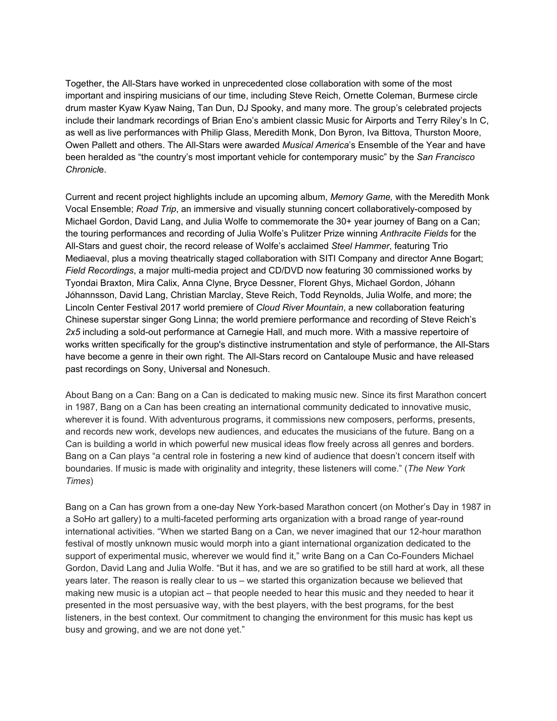Together, the All-Stars have worked in unprecedented close collaboration with some of the most important and inspiring musicians of our time, including Steve Reich, Ornette Coleman, Burmese circle drum master Kyaw Kyaw Naing, Tan Dun, DJ Spooky, and many more. The group's celebrated projects include their landmark recordings of Brian Eno's ambient classic Music for Airports and Terry Riley's In C, as well as live performances with Philip Glass, Meredith Monk, Don Byron, Iva Bittova, Thurston Moore, Owen Pallett and others. The All-Stars were awarded *Musical America*'s Ensemble of the Year and have been heralded as "the country's most important vehicle for contemporary music" by the *San Francisco Chronicl*e.

Current and recent project highlights include an upcoming album, *Memory Game,* with the Meredith Monk Vocal Ensemble; *[Road](https://u7061146.ct.sendgrid.net/ls/click?upn=4tNED-2FM8iDZJQyQ53jATUbhb2nZxTv9rfnhsXCHwu-2FZ1ePR6zujcSadj8MQpkZwOxtLE3p5JAwkdNL6-2FHX52dw-3D-3Dygbj_IpA7hxueGg5XIsiAxedwPJ6X7KkvJosY9CQSXImWzsGT2TMlME98D1uoJFSQ2tXLntiI-2BJ2MeBovEtABaBEmsOOFc-2BVBaLMHWENAhPqWPGybPrIOWkhEc3Eyo5ajgQrVxUddZikCbFIRmxbSuoruQz51tPEaWsaT0-2BV4dKaNx0WJ5x7dTQTKvWuB01VFzM-2BgznJhMDTYwmGgcrOwvykw4gMsKKfFhHXfnlWAREPddUmliINhBcdeY-2FAput93cf-2B-2BybA4sHdGSO0sQQdVjE8h540Ynmzxcichr-2B-2FXRk4s-2FFf5nx3Gj1ObKD1TKUao9WAwc5mJpRD-2BUzlT-2BsDo5OJsVEWRCniFxXyYsZ79Wrsolu8-3D) Trip*, an immersive and visually stunning concert collaboratively-composed by Michael Gordon, David Lang, and Julia Wolfe to commemorate the 30+ year journey of Bang on a Can; the touring performances and recording of Julia Wolfe's Pulitzer Prize winning *[Anthracite](https://u7061146.ct.sendgrid.net/ls/click?upn=7-2Fu-2BFt8h-2F-2B8IbrV7wG96TC-2Fax2QKQEJWthlnja7HQdfX07V8sCxitHmYkkWgDdMdgLis8gNdBIHw-2FKNVrkGsErZBHYYmY0sZifuhyr8iGyQ-3DzhDq_IpA7hxueGg5XIsiAxedwPJ6X7KkvJosY9CQSXImWzsGT2TMlME98D1uoJFSQ2tXLntiI-2BJ2MeBovEtABaBEmsOOFc-2BVBaLMHWENAhPqWPGybPrIOWkhEc3Eyo5ajgQrVxUddZikCbFIRmxbSuoruQz51tPEaWsaT0-2BV4dKaNx0WJ5x7dTQTKvWuB01VFzM-2BgznJhMDTYwmGgcrOwvykw4sBJfls0LuN6J3uSFFkCDBIEGJDwOR2a5ouVr8lHD-2F0n4CdgWLHCQp09hbqV1JEbja3EkfEmasT-2FvLYpPWFGNRFYVjLR-2FJ2-2FpcxC28hBR3pan3l1Z22Ec9GnUFOrPNSdIQbdVzsYF8nEJP7YzQHR1MU-3D) Fields* for the All-Stars and guest choir, the record release of Wolfe's acclaimed *Steel [Hammer](https://u7061146.ct.sendgrid.net/ls/click?upn=7-2Fu-2BFt8h-2F-2B8IbrV7wG96TC-2Fax2QKQEJWthlnja7HQdfX07V8sCxitHmYkkWgDdMd-2B4xJ7SIzbTL3CW10iGuKJA-3D-3D6BMN_IpA7hxueGg5XIsiAxedwPJ6X7KkvJosY9CQSXImWzsGT2TMlME98D1uoJFSQ2tXLntiI-2BJ2MeBovEtABaBEmsOOFc-2BVBaLMHWENAhPqWPGybPrIOWkhEc3Eyo5ajgQrVxUddZikCbFIRmxbSuoruQz51tPEaWsaT0-2BV4dKaNx0WJ5x7dTQTKvWuB01VFzM-2BgznJhMDTYwmGgcrOwvykw4t0D24g3iUDI6cSLb0qvAGb0FZcm42TIVmuLJzMoinNrMlHTjAvsIfiIU7Px2-2F1e-2FkpX-2BzlcEOTu1WOjnuTksE8Prjv50-2Fy-2BuCTe-2Fd-2FPrZm1SSTPUwM5-2FKz8RdEgmOgmEmFe9vnyxeT61MQZS9hZH58-3D)*, featuring Trio Mediaeval, plus a moving theatrically staged collaboration with SITI Company and director Anne Bogart; *Field [Recordings](https://u7061146.ct.sendgrid.net/ls/click?upn=7-2Fu-2BFt8h-2F-2B8IbrV7wG96TC-2Fax2QKQEJWthlnja7HQdfX07V8sCxitHmYkkWgDdMdqUlmBmiCvNqsfggsEQcdnQdPKq9P7wOTGexoRFTaYDU-3DY_lm_IpA7hxueGg5XIsiAxedwPJ6X7KkvJosY9CQSXImWzsGT2TMlME98D1uoJFSQ2tXLntiI-2BJ2MeBovEtABaBEmsOOFc-2BVBaLMHWENAhPqWPGybPrIOWkhEc3Eyo5ajgQrVxUddZikCbFIRmxbSuoruQz51tPEaWsaT0-2BV4dKaNx0WJ5x7dTQTKvWuB01VFzM-2BgznJhMDTYwmGgcrOwvykw4pLR10Dxsfm7WVUQhEggOys0zjVDTY0eKOwmvZs8ouFfQ2r6ILrw0soZypKU8wlwLxrhplL1hwSuc1LPR1Q8POplUBpJsJsCp4q1cl5pWl4ywAFBRCjWdBrqNvKWDOAbRAaWenQEuuLqd1pLbpR-2BTtc-3D)*, a major multi-media project and CD/DVD now featuring 30 commissioned works by Tyondai Braxton, Mira Calix, Anna Clyne, Bryce Dessner, Florent Ghys, Michael Gordon, Jóhann Jóhannsson, David Lang, Christian Marclay, Steve Reich, Todd Reynolds, Julia Wolfe, and more; the Lincoln Center Festival 2017 world premiere of *Cloud River [Mountain](https://u7061146.ct.sendgrid.net/ls/click?upn=7-2Fu-2BFt8h-2F-2B8IbrV7wG96TC-2Fax2QKQEJWthlnja7HQdfX07V8sCxitHmYkkWgDdMduFH8-2FV1vIHEQXtzwTE7l-2BBDMDgh0TjuPVMJvKNmQ-2BE4-3DhqDv_IpA7hxueGg5XIsiAxedwPJ6X7KkvJosY9CQSXImWzsGT2TMlME98D1uoJFSQ2tXLntiI-2BJ2MeBovEtABaBEmsOOFc-2BVBaLMHWENAhPqWPGybPrIOWkhEc3Eyo5ajgQrVxUddZikCbFIRmxbSuoruQz51tPEaWsaT0-2BV4dKaNx0WJ5x7dTQTKvWuB01VFzM-2BgznJhMDTYwmGgcrOwvykw4gyv5ggZiJiWmH-2BMjJAtso2wt-2FQf5yQlYpW4ggvjiys6-2B9xPYPWDpG9Sxc-2BRWhysl1qiEfVdrkYzwL57CbEAtD2uzJDC25I8xFDrWuZC9PQNKXNdkMh1687H2goQfT7CoNBR5vsMg3XmyNPI8J9KQnI-3D)*, a new collaboration featuring Chinese superstar singer Gong Linna; the world premiere performance and recording of Steve Reich's *2x5* including a sold-out performance at Carnegie Hall, and much more. With a massive repertoire of works written specifically for the group's distinctive instrumentation and style of performance, the All-Stars have become a genre in their own right. The All-Stars record on Cantaloupe Music and have released past recordings on Sony, Universal and Nonesuch.

About Bang on a Can: Bang on a Can is dedicated to making music new. Since its first Marathon concert in 1987, Bang on a Can has been creating an international community dedicated to innovative music, wherever it is found. With adventurous programs, it commissions new composers, performs, presents, and records new work, develops new audiences, and educates the musicians of the future. Bang on a Can is building a world in which powerful new musical ideas flow freely across all genres and borders. Bang on a Can plays "a central role in fostering a new kind of audience that doesn't concern itself with boundaries. If music is made with originality and integrity, these listeners will come." (*The New York Times*)

Bang on a Can has grown from a one-day New York-based Marathon concert (on Mother's Day in 1987 in a SoHo art gallery) to a multi-faceted performing arts organization with a broad range of year-round international activities. "When we started Bang on a Can, we never imagined that our 12-hour marathon festival of mostly unknown music would morph into a giant international organization dedicated to the support of experimental music, wherever we would find it," write Bang on a Can Co-Founders Michael Gordon, David Lang and Julia Wolfe. "But it has, and we are so gratified to be still hard at work, all these years later. The reason is really clear to us – we started this organization because we believed that making new music is a utopian act – that people needed to hear this music and they needed to hear it presented in the most persuasive way, with the best players, with the best programs, for the best listeners, in the best context. Our commitment to changing the environment for this music has kept us busy and growing, and we are not done yet."